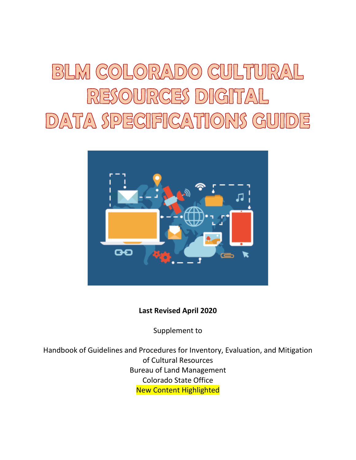# $|3]$ LM (COLORADO) CULTURAL RESOURCES DIGITAL DATA SPECIFICATIONS GUIDE



# **Last Revised April 2020**

Supplement to

Handbook of Guidelines and Procedures for Inventory, Evaluation, and Mitigation of Cultural Resources Bureau of Land Management Colorado State Office New Content Highlighted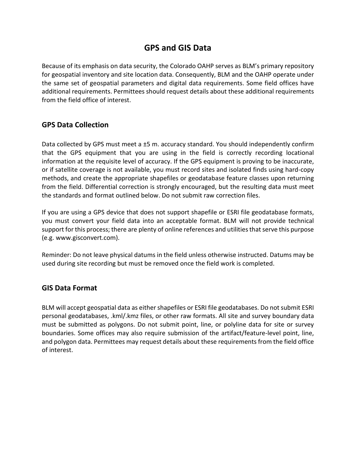# **GPS and GIS Data**

Because of its emphasis on data security, the Colorado OAHP serves as BLM's primary repository for geospatial inventory and site location data. Consequently, BLM and the OAHP operate under the same set of geospatial parameters and digital data requirements. Some field offices have additional requirements. Permittees should request details about these additional requirements from the field office of interest.

## **GPS Data Collection**

Data collected by GPS must meet a ±5 m. accuracy standard. You should independently confirm that the GPS equipment that you are using in the field is correctly recording locational information at the requisite level of accuracy. If the GPS equipment is proving to be inaccurate, or if satellite coverage is not available, you must record sites and isolated finds using hard-copy methods, and create the appropriate shapefiles or geodatabase feature classes upon returning from the field. Differential correction is strongly encouraged, but the resulting data must meet the standards and format outlined below. Do not submit raw correction files.

If you are using a GPS device that does not support shapefile or ESRI file geodatabase formats, you must convert your field data into an acceptable format. BLM will not provide technical support for this process; there are plenty of online references and utilities that serve this purpose (e.g. www.gisconvert.com).

Reminder: Do not leave physical datums in the field unless otherwise instructed. Datums may be used during site recording but must be removed once the field work is completed.

## **GIS Data Format**

BLM will accept geospatial data as either shapefiles or ESRI file geodatabases. Do not submit ESRI personal geodatabases, .kml/.kmz files, or other raw formats. All site and survey boundary data must be submitted as polygons. Do not submit point, line, or polyline data for site or survey boundaries. Some offices may also require submission of the artifact/feature-level point, line, and polygon data. Permittees may request details about these requirements from the field office of interest.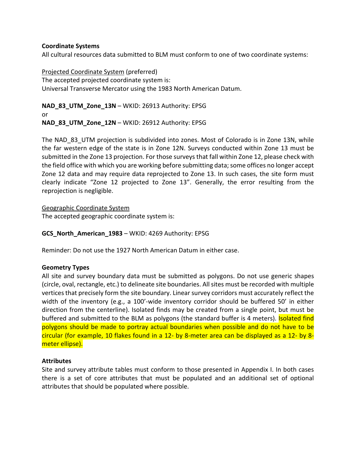## **Coordinate Systems**

All cultural resources data submitted to BLM must conform to one of two coordinate systems:

Projected Coordinate System (preferred) The accepted projected coordinate system is: Universal Transverse Mercator using the 1983 North American Datum.

**NAD\_83\_UTM\_Zone\_13N** – WKID: 26913 Authority: EPSG or **NAD\_83\_UTM\_Zone\_12N** – WKID: 26912 Authority: EPSG

The NAD 83 UTM projection is subdivided into zones. Most of Colorado is in Zone 13N, while the far western edge of the state is in Zone 12N. Surveys conducted within Zone 13 must be submitted in the Zone 13 projection. For those surveys that fall within Zone 12, please check with the field office with which you are working before submitting data; some offices no longer accept Zone 12 data and may require data reprojected to Zone 13. In such cases, the site form must clearly indicate "Zone 12 projected to Zone 13". Generally, the error resulting from the reprojection is negligible.

Geographic Coordinate System The accepted geographic coordinate system is:

## **GCS\_North\_American\_1983** – WKID: 4269 Authority: EPSG

Reminder: Do not use the 1927 North American Datum in either case.

## **Geometry Types**

All site and survey boundary data must be submitted as polygons. Do not use generic shapes (circle, oval, rectangle, etc.) to delineate site boundaries. All sites must be recorded with multiple vertices that precisely form the site boundary. Linear survey corridors must accurately reflect the width of the inventory (e.g., a 100'-wide inventory corridor should be buffered 50' in either direction from the centerline). Isolated finds may be created from a single point, but must be buffered and submitted to the BLM as polygons (the standard buffer is 4 meters). Isolated find polygons should be made to portray actual boundaries when possible and do not have to be circular (for example, 10 flakes found in a 12- by 8-meter area can be displayed as a 12- by 8 meter ellipse).

## **Attributes**

Site and survey attribute tables must conform to those presented in Appendix I. In both cases there is a set of core attributes that must be populated and an additional set of optional attributes that should be populated where possible.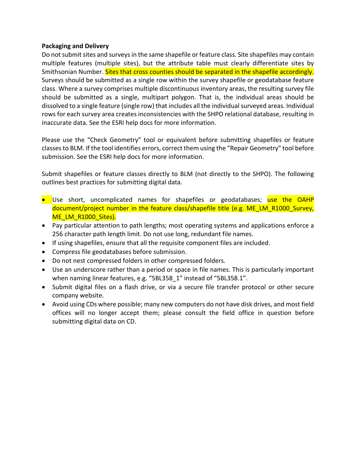## **Packaging and Delivery**

Do not submit sites and surveys in the same shapefile or feature class. Site shapefiles may contain multiple features (multiple sites), but the attribute table must clearly differentiate sites by Smithsonian Number. Sites that cross counties should be separated in the shapefile accordingly. Surveys should be submitted as a single row within the survey shapefile or geodatabase feature class. Where a survey comprises multiple discontinuous inventory areas, the resulting survey file should be submitted as a single, multipart polygon. That is, the individual areas should be dissolved to a single feature (single row) that includes all the individual surveyed areas. Individual rows for each survey area creates inconsistencies with the SHPO relational database, resulting in inaccurate data. See the ESRI help docs for more information.

Please use the "Check Geometry" tool or equivalent before submitting shapefiles or feature classes to BLM. If the tool identifies errors, correct them using the "Repair Geometry" tool before submission. See the ESRI help docs for more information.

Submit shapefiles or feature classes directly to BLM (not directly to the SHPO). The following outlines best practices for submitting digital data.

- Use short, uncomplicated names for shapefiles or geodatabases; use the OAHP document/project number in the feature class/shapefile title (e.g. ME\_LM\_R1000\_Survey, ME\_LM\_R1000\_Sites).
- Pay particular attention to path lengths; most operating systems and applications enforce a 256 character path length limit. Do not use long, redundant file names.
- If using shapefiles, ensure that all the requisite component files are included.
- Compress file geodatabases before submission.
- Do not nest compressed folders in other compressed folders.
- Use an underscore rather than a period or space in file names. This is particularly important when naming linear features, e.g. "5BL358 1" instead of "5BL358.1".
- Submit digital files on a flash drive, or via a secure file transfer protocol or other secure company website.
- Avoid using CDs where possible; many new computers do not have disk drives, and most field offices will no longer accept them; please consult the field office in question before submitting digital data on CD.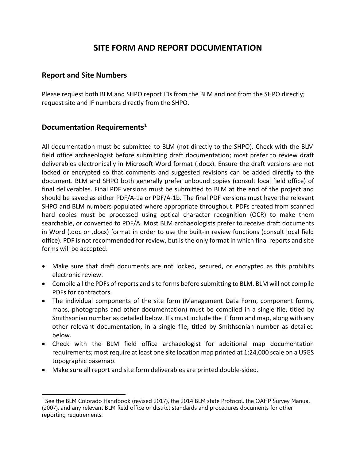# **SITE FORM AND REPORT DOCUMENTATION**

## **Report and Site Numbers**

Please request both BLM and SHPO report IDs from the BLM and not from the SHPO directly; request site and IF numbers directly from the SHPO.

## **Documentation Requirements[1](#page-4-0)**

All documentation must be submitted to BLM (not directly to the SHPO). Check with the BLM field office archaeologist before submitting draft documentation; most prefer to review draft deliverables electronically in Microsoft Word format (.docx). Ensure the draft versions are not locked or encrypted so that comments and suggested revisions can be added directly to the document. BLM and SHPO both generally prefer unbound copies (consult local field office) of final deliverables. Final PDF versions must be submitted to BLM at the end of the project and should be saved as either PDF/A-1a or PDF/A-1b. The final PDF versions must have the relevant SHPO and BLM numbers populated where appropriate throughout. PDFs created from scanned hard copies must be processed using optical character recognition (OCR) to make them searchable, or converted to PDF/A. Most BLM archaeologists prefer to receive draft documents in Word (.doc or .docx) format in order to use the built-in review functions (consult local field office). PDF is not recommended for review, but is the only format in which final reports and site forms will be accepted.

- Make sure that draft documents are not locked, secured, or encrypted as this prohibits electronic review.
- Compile all the PDFs of reports and site forms before submitting to BLM. BLM will not compile PDFs for contractors.
- The individual components of the site form (Management Data Form, component forms, maps, photographs and other documentation) must be compiled in a single file, titled by Smithsonian number as detailed below. IFs must include the IF form and map, along with any other relevant documentation, in a single file, titled by Smithsonian number as detailed below.
- Check with the BLM field office archaeologist for additional map documentation requirements; most require at least one site location map printed at 1:24,000 scale on a USGS topographic basemap.
- Make sure all report and site form deliverables are printed double-sided.

<span id="page-4-0"></span><sup>&</sup>lt;sup>1</sup> See the BLM Colorado Handbook (revised 2017), the 2014 BLM state Protocol, the OAHP Survey Manual (2007), and any relevant BLM field office or district standards and procedures documents for other reporting requirements.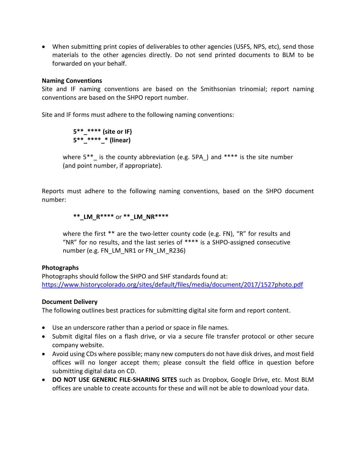• When submitting print copies of deliverables to other agencies (USFS, NPS, etc), send those materials to the other agencies directly. Do not send printed documents to BLM to be forwarded on your behalf.

#### **Naming Conventions**

Site and IF naming conventions are based on the Smithsonian trinomial; report naming conventions are based on the SHPO report number.

Site and IF forms must adhere to the following naming conventions:

**5\*\*\_\*\*\*\* (site or IF) 5\*\*\_\*\*\*\*\_\* (linear)**

where  $5^{**}$  is the county abbreviation (e.g.  $5PA$ ) and \*\*\*\* is the site number (and point number, if appropriate).

Reports must adhere to the following naming conventions, based on the SHPO document number:

#### **\*\*\_LM\_R\*\*\*\*** or **\*\*\_LM\_NR\*\*\*\***

where the first \*\* are the two-letter county code (e.g. FN), "R" for results and "NR" for no results, and the last series of \*\*\*\* is a SHPO-assigned consecutive number (e.g. FN\_LM\_NR1 or FN\_LM\_R236)

## **Photographs**

Photographs should follow the SHPO and SHF standards found at: <https://www.historycolorado.org/sites/default/files/media/document/2017/1527photo.pdf>

#### **Document Delivery**

The following outlines best practices for submitting digital site form and report content.

- Use an underscore rather than a period or space in file names.
- Submit digital files on a flash drive, or via a secure file transfer protocol or other secure company website.
- Avoid using CDs where possible; many new computers do not have disk drives, and most field offices will no longer accept them; please consult the field office in question before submitting digital data on CD.
- **DO NOT USE GENERIC FILE-SHARING SITES** such as Dropbox, Google Drive, etc. Most BLM offices are unable to create accounts for these and will not be able to download your data.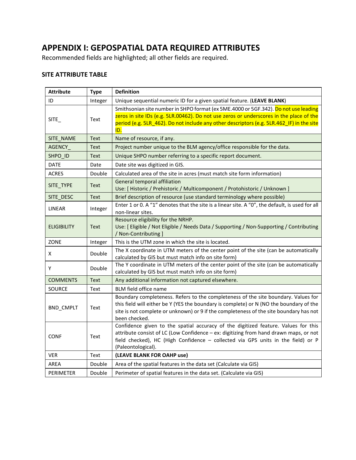# **APPENDIX I: GEPOSPATIAL DATA REQUIRED ATTRIBUTES**

Recommended fields are highlighted; all other fields are required.

# **SITE ATTRIBUTE TABLE**

| <b>Attribute</b>   | <b>Type</b> | <b>Definition</b>                                                                                                                                                                                                                                                                        |
|--------------------|-------------|------------------------------------------------------------------------------------------------------------------------------------------------------------------------------------------------------------------------------------------------------------------------------------------|
| ID                 | Integer     | Unique sequential numeric ID for a given spatial feature. (LEAVE BLANK)                                                                                                                                                                                                                  |
| SITE               | Text        | Smithsonian site number in SHPO format (ex 5ME.4000 or 5GF.342). Do not use leading<br>zeros in site IDs (e.g. 5LR.00462). Do not use zeros or underscores in the place of the<br>period (e.g. 5LR_462). Do not include any other descriptors (e.g. 5LR.462_IF) in the site<br>ID.       |
| SITE_NAME          | <b>Text</b> | Name of resource, if any.                                                                                                                                                                                                                                                                |
| AGENCY             | <b>Text</b> | Project number unique to the BLM agency/office responsible for the data.                                                                                                                                                                                                                 |
| SHPO_ID            | <b>Text</b> | Unique SHPO number referring to a specific report document.                                                                                                                                                                                                                              |
| DATE               | Date        | Date site was digitized in GIS.                                                                                                                                                                                                                                                          |
| ACRES              | Double      | Calculated area of the site in acres (must match site form information)                                                                                                                                                                                                                  |
| SITE_TYPE          | <b>Text</b> | General temporal affiliation<br>Use: [Historic / Prehistoric / Multicomponent / Protohistoric / Unknown ]                                                                                                                                                                                |
| SITE DESC          | <b>Text</b> | Brief description of resource (use standard terminology where possible)                                                                                                                                                                                                                  |
| LINEAR             | Integer     | Enter 1 or 0. A "1" denotes that the site is a linear site. A "0", the default, is used for all<br>non-linear sites.                                                                                                                                                                     |
| <b>ELIGIBILITY</b> | <b>Text</b> | Resource eligibility for the NRHP.<br>Use: [Eligible / Not Eligible / Needs Data / Supporting / Non-Supporting / Contributing<br>/ Non-Contributing ]                                                                                                                                    |
| ZONE               | Integer     | This is the UTM zone in which the site is located.                                                                                                                                                                                                                                       |
| X                  | Double      | The X coordinate in UTM meters of the center point of the site (can be automatically<br>calculated by GIS but must match info on site form)                                                                                                                                              |
| Y                  | Double      | The Y coordinate in UTM meters of the center point of the site (can be automatically<br>calculated by GIS but must match info on site form)                                                                                                                                              |
| <b>COMMENTS</b>    | <b>Text</b> | Any additional information not captured elsewhere.                                                                                                                                                                                                                                       |
| SOURCE             | Text        | BLM field office name                                                                                                                                                                                                                                                                    |
| BND_CMPLT          | Text        | Boundary completeness. Refers to the completeness of the site boundary. Values for<br>this field will either be Y (YES the boundary is complete) or N (NO the boundary of the<br>site is not complete or unknown) or 9 if the completeness of the site boundary has not<br>been checked. |
| <b>CONF</b>        | Text        | Confidence given to the spatial accuracy of the digitized feature. Values for this<br>attribute consist of LC (Low Confidence - ex: digitizing from hand drawn maps, or not<br>field checked), HC (High Confidence - collected via GPS units in the field) or P<br>(Paleontological).    |
| <b>VER</b>         | Text        | (LEAVE BLANK FOR OAHP use)                                                                                                                                                                                                                                                               |
| AREA               | Double      | Area of the spatial features in the data set (Calculate via GIS)                                                                                                                                                                                                                         |
| <b>PERIMETER</b>   | Double      | Perimeter of spatial features in the data set. (Calculate via GIS)                                                                                                                                                                                                                       |